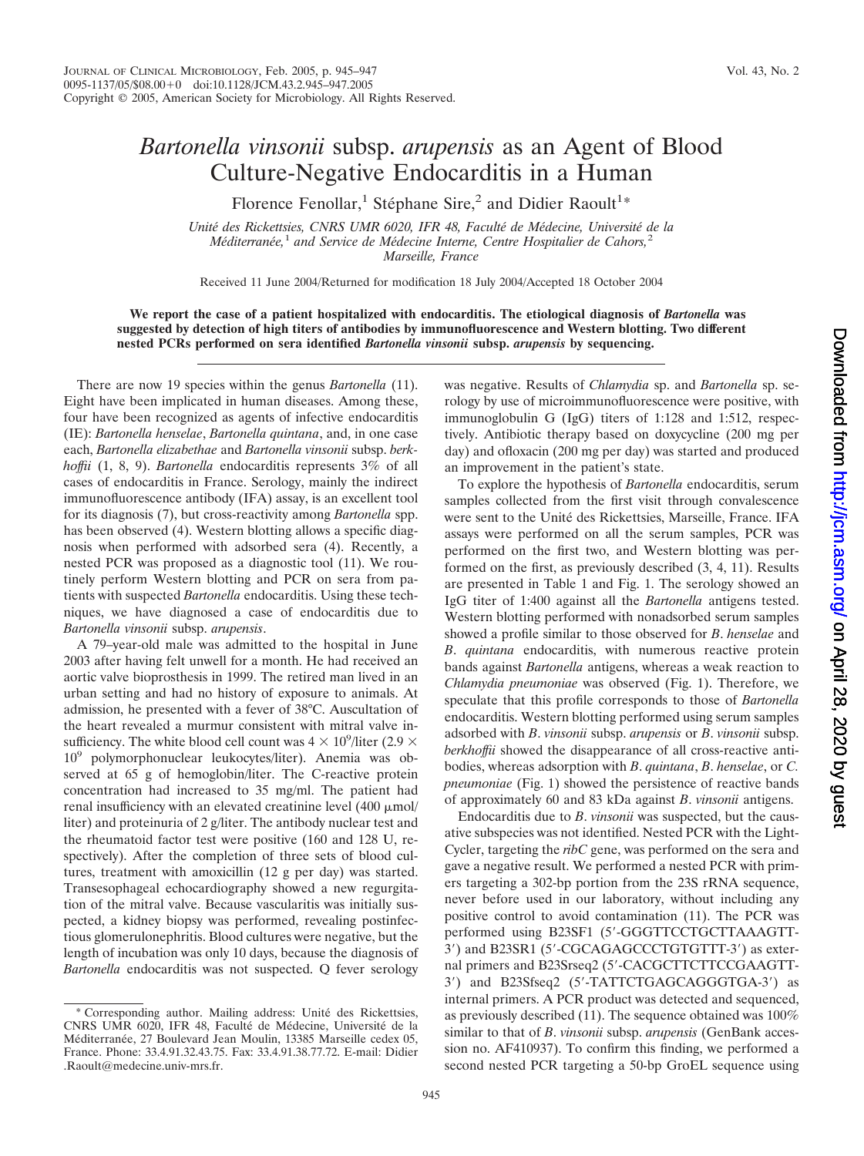## *Bartonella vinsonii* subsp. *arupensis* as an Agent of Blood Culture-Negative Endocarditis in a Human

Florence Fenollar,<sup>1</sup> Stéphane Sire,<sup>2</sup> and Didier Raoult<sup>1</sup>\*

*Unite´ des Rickettsies, CNRS UMR 6020, IFR 48, Faculte´ de Me´decine, Universite´ de la Me´diterrane´e,*<sup>1</sup> *and Service de Me´decine Interne, Centre Hospitalier de Cahors,*<sup>2</sup> *Marseille, France*

Received 11 June 2004/Returned for modification 18 July 2004/Accepted 18 October 2004

**We report the case of a patient hospitalized with endocarditis. The etiological diagnosis of** *Bartonella* **was suggested by detection of high titers of antibodies by immunofluorescence and Western blotting. Two different nested PCRs performed on sera identified** *Bartonella vinsonii* **subsp.** *arupensis* **by sequencing.**

There are now 19 species within the genus *Bartonella* (11). Eight have been implicated in human diseases. Among these, four have been recognized as agents of infective endocarditis (IE): *Bartonella henselae*, *Bartonella quintana*, and, in one case each, *Bartonella elizabethae* and *Bartonella vinsonii* subsp. *berkhoffii* (1, 8, 9). *Bartonella* endocarditis represents 3% of all cases of endocarditis in France. Serology, mainly the indirect immunofluorescence antibody (IFA) assay, is an excellent tool for its diagnosis (7), but cross-reactivity among *Bartonella* spp. has been observed (4). Western blotting allows a specific diagnosis when performed with adsorbed sera (4). Recently, a nested PCR was proposed as a diagnostic tool (11). We routinely perform Western blotting and PCR on sera from patients with suspected *Bartonella* endocarditis. Using these techniques, we have diagnosed a case of endocarditis due to *Bartonella vinsonii* subsp. *arupensis*.

A 79–year-old male was admitted to the hospital in June 2003 after having felt unwell for a month. He had received an aortic valve bioprosthesis in 1999. The retired man lived in an urban setting and had no history of exposure to animals. At admission, he presented with a fever of 38°C. Auscultation of the heart revealed a murmur consistent with mitral valve insufficiency. The white blood cell count was  $4 \times 10^9$ /liter (2.9  $\times$  $10<sup>9</sup>$  polymorphonuclear leukocytes/liter). Anemia was observed at 65 g of hemoglobin/liter. The C-reactive protein concentration had increased to 35 mg/ml. The patient had renal insufficiency with an elevated creatinine level  $(400 \mu mol)$ liter) and proteinuria of 2 g/liter. The antibody nuclear test and the rheumatoid factor test were positive (160 and 128 U, respectively). After the completion of three sets of blood cultures, treatment with amoxicillin (12 g per day) was started. Transesophageal echocardiography showed a new regurgitation of the mitral valve. Because vascularitis was initially suspected, a kidney biopsy was performed, revealing postinfectious glomerulonephritis. Blood cultures were negative, but the length of incubation was only 10 days, because the diagnosis of *Bartonella* endocarditis was not suspected. Q fever serology

was negative. Results of *Chlamydia* sp. and *Bartonella* sp. serology by use of microimmunofluorescence were positive, with immunoglobulin G (IgG) titers of 1:128 and 1:512, respectively. Antibiotic therapy based on doxycycline (200 mg per day) and ofloxacin (200 mg per day) was started and produced an improvement in the patient's state.

To explore the hypothesis of *Bartonella* endocarditis, serum samples collected from the first visit through convalescence were sent to the Unité des Rickettsies, Marseille, France. IFA assays were performed on all the serum samples, PCR was performed on the first two, and Western blotting was performed on the first, as previously described (3, 4, 11). Results are presented in Table 1 and Fig. 1. The serology showed an IgG titer of 1:400 against all the *Bartonella* antigens tested. Western blotting performed with nonadsorbed serum samples showed a profile similar to those observed for *B*. *henselae* and *B*. *quintana* endocarditis, with numerous reactive protein bands against *Bartonella* antigens, whereas a weak reaction to *Chlamydia pneumoniae* was observed (Fig. 1). Therefore, we speculate that this profile corresponds to those of *Bartonella* endocarditis. Western blotting performed using serum samples adsorbed with *B*. *vinsonii* subsp. *arupensis* or *B*. *vinsonii* subsp. *berkhoffii* showed the disappearance of all cross-reactive antibodies, whereas adsorption with *B*. *quintana*, *B*. *henselae*, or *C. pneumoniae* (Fig. 1) showed the persistence of reactive bands of approximately 60 and 83 kDa against *B*. *vinsonii* antigens.

Endocarditis due to *B*. *vinsonii* was suspected, but the causative subspecies was not identified. Nested PCR with the Light-Cycler, targeting the *ribC* gene, was performed on the sera and gave a negative result. We performed a nested PCR with primers targeting a 302-bp portion from the 23S rRNA sequence, never before used in our laboratory, without including any positive control to avoid contamination (11). The PCR was performed using B23SF1 (5-GGGTTCCTGCTTAAAGTT-3) and B23SR1 (5-CGCAGAGCCCTGTGTTT-3) as external primers and B23Srseq2 (5-CACGCTTCTTCCGAAGTT-3) and B23Sfseq2 (5-TATTCTGAGCAGGGTGA-3) as internal primers. A PCR product was detected and sequenced, as previously described (11). The sequence obtained was 100% similar to that of *B*. *vinsonii* subsp. *arupensis* (GenBank accession no. AF410937). To confirm this finding, we performed a second nested PCR targeting a 50-bp GroEL sequence using

<sup>\*</sup> Corresponding author. Mailing address: Unite´ des Rickettsies, CNRS UMR 6020, IFR 48, Faculté de Médecine, Université de la Méditerranée, 27 Boulevard Jean Moulin, 13385 Marseille cedex 05, France. Phone: 33.4.91.32.43.75. Fax: 33.4.91.38.77.72. E-mail: Didier .Raoult@medecine.univ-mrs.fr.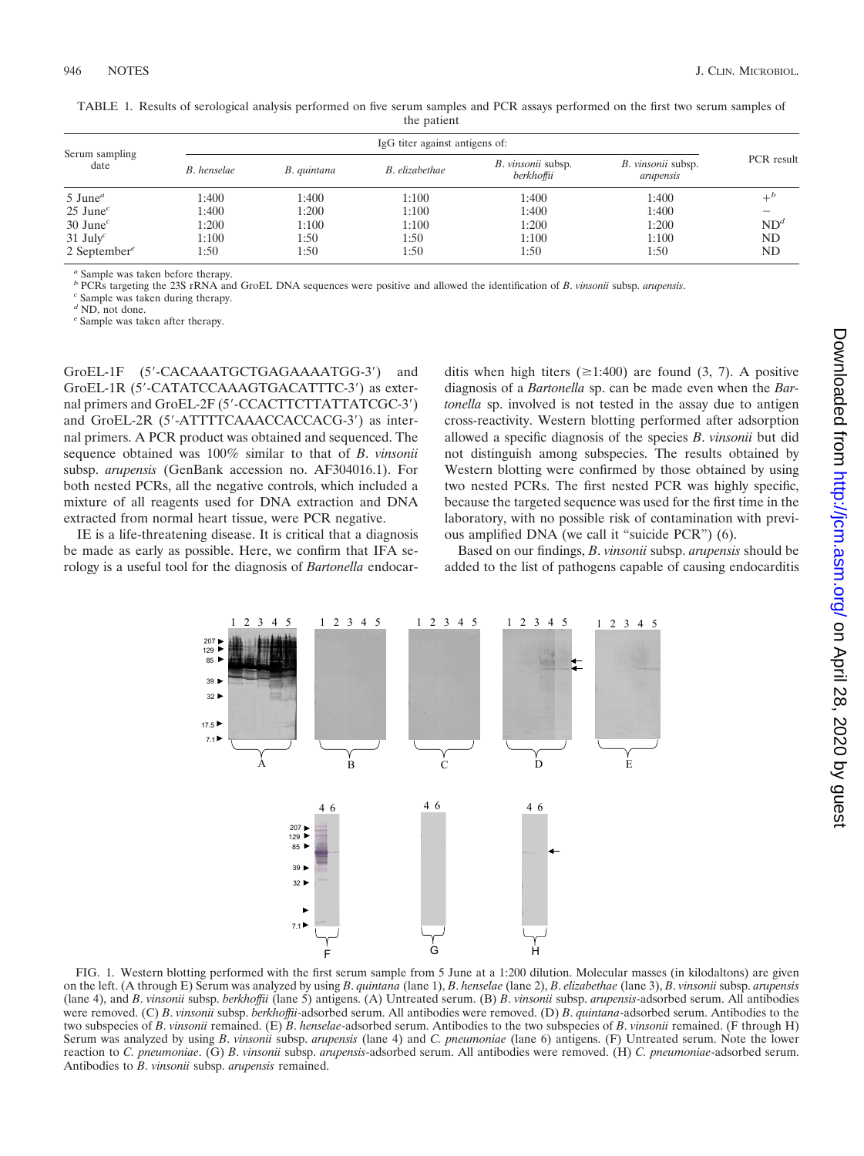| Serum sampling<br>date              | IgG titer against antigens of: |             |                |                                         |                                 |                 |
|-------------------------------------|--------------------------------|-------------|----------------|-----------------------------------------|---------------------------------|-----------------|
|                                     | B. henselae                    | B. quintana | B. elizabethae | <i>B. vinsonii</i> subsp.<br>berkhoffii | B. vinsonii subsp.<br>arupensis | PCR result      |
| $5$ June <sup><math>a</math></sup>  | 1:400                          | 1:400       | 1:100          | 1:400                                   | 1:400                           | $+^b$           |
| $25$ June <sup><math>c</math></sup> | 1:400                          | 1:200       | 1:100          | 1:400                                   | 1:400                           |                 |
| $30$ June <sup>c</sup>              | 1:200                          | 1:100       | 1:100          | 1:200                                   | 1:200                           | ND <sup>d</sup> |
| $31$ July <sup>c</sup>              | 1:100                          | 1:50        | 1:50           | 1:100                                   | 1:100                           | ND              |
| 2 September <sup>e</sup>            | 1:50                           | 1:50        | 1:50           | 1:50                                    | 1:50                            | ND              |

TABLE 1. Results of serological analysis performed on five serum samples and PCR assays performed on the first two serum samples of the patient

*<sup>a</sup>* Sample was taken before therapy.

*<sup>b</sup>* PCRs targeting the 23S rRNA and GroEL DNA sequences were positive and allowed the identification of *<sup>B</sup>*. *vinsonii* subsp. *arupensis*. *<sup>c</sup>* Sample was taken during therapy.

*<sup>d</sup>* ND, not done.

*<sup>e</sup>* Sample was taken after therapy.

GroEL-1F (5-CACAAATGCTGAGAAAATGG-3) and GroEL-1R (5-CATATCCAAAGTGACATTTC-3) as external primers and GroEL-2F (5'-CCACTTCTTATTATCGC-3') and GroEL-2R (5'-ATTTTCAAACCACCACG-3') as internal primers. A PCR product was obtained and sequenced. The sequence obtained was 100% similar to that of *B*. *vinsonii* subsp. *arupensis* (GenBank accession no. AF304016.1). For both nested PCRs, all the negative controls, which included a mixture of all reagents used for DNA extraction and DNA extracted from normal heart tissue, were PCR negative.

IE is a life-threatening disease. It is critical that a diagnosis be made as early as possible. Here, we confirm that IFA serology is a useful tool for the diagnosis of *Bartonella* endocarditis when high titers ( $\geq 1:400$ ) are found (3, 7). A positive diagnosis of a *Bartonella* sp. can be made even when the *Bartonella* sp. involved is not tested in the assay due to antigen cross-reactivity. Western blotting performed after adsorption allowed a specific diagnosis of the species *B*. *vinsonii* but did not distinguish among subspecies. The results obtained by Western blotting were confirmed by those obtained by using two nested PCRs. The first nested PCR was highly specific, because the targeted sequence was used for the first time in the laboratory, with no possible risk of contamination with previous amplified DNA (we call it "suicide PCR") (6).

Based on our findings, *B*. *vinsonii* subsp. *arupensis* should be added to the list of pathogens capable of causing endocarditis



FIG. 1. Western blotting performed with the first serum sample from 5 June at a 1:200 dilution. Molecular masses (in kilodaltons) are given on the left. (A through E) Serum was analyzed by using *B*. *quintana* (lane 1), *B*. *henselae* (lane 2), *B*. *elizabethae* (lane 3), *B*. *vinsonii* subsp. *arupensis* (lane 4), and *B*. *vinsonii* subsp. *berkhoffii* (lane 5) antigens. (A) Untreated serum. (B) *B*. *vinsonii* subsp. *arupensis*-adsorbed serum. All antibodies were removed. (C) *B*. *vinsonii* subsp. *berkhoffii*-adsorbed serum. All antibodies were removed. (D) *B*. *quintana*-adsorbed serum. Antibodies to the two subspecies of *B*. *vinsonii* remained. (E) *B*. *henselae*-adsorbed serum. Antibodies to the two subspecies of *B*. *vinsonii* remained. (F through H) Serum was analyzed by using *B*. *vinsonii* subsp. *arupensis* (lane 4) and *C. pneumoniae* (lane 6) antigens. (F) Untreated serum. Note the lower reaction to *C. pneumoniae*. (G) *B*. *vinsonii* subsp. *arupensis*-adsorbed serum. All antibodies were removed. (H) *C. pneumoniae*-adsorbed serum. Antibodies to *B*. *vinsonii* subsp. *arupensis* remained.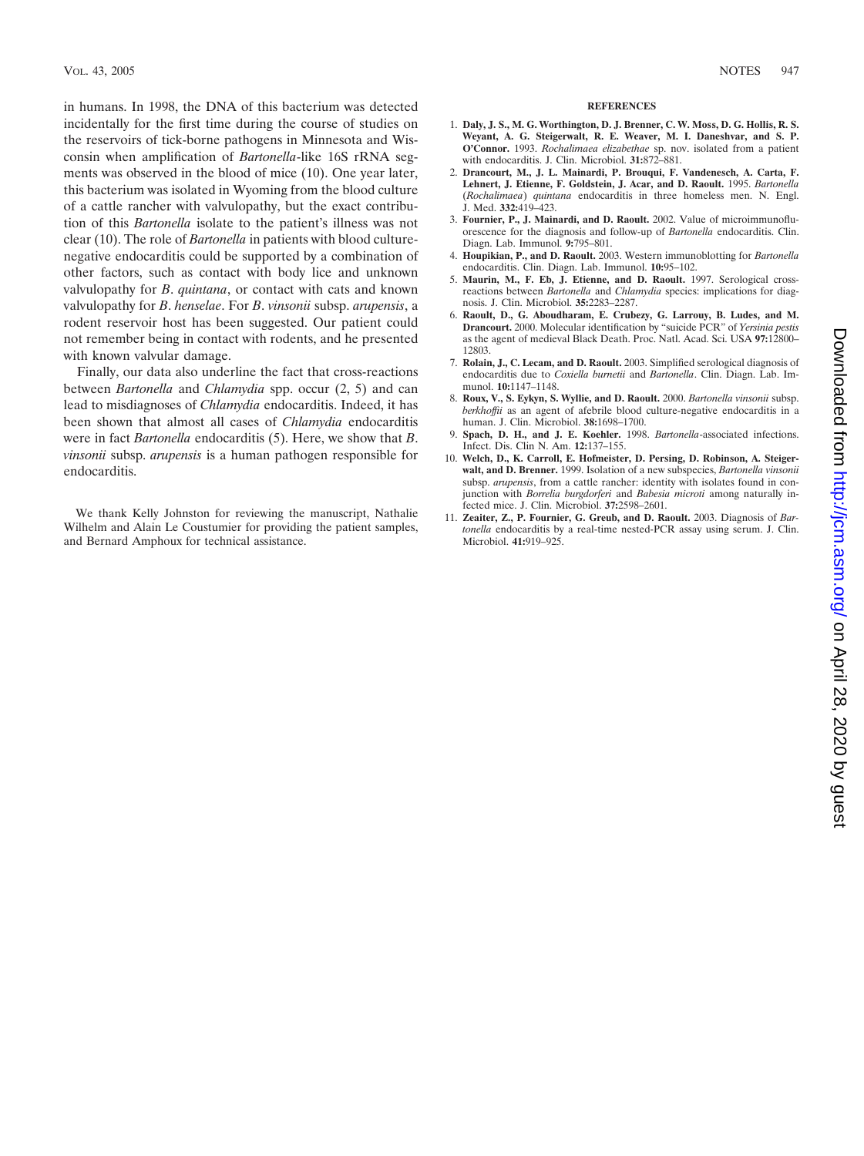in humans. In 1998, the DNA of this bacterium was detected incidentally for the first time during the course of studies on the reservoirs of tick-borne pathogens in Minnesota and Wisconsin when amplification of *Bartonella*-like 16S rRNA segments was observed in the blood of mice (10). One year later, this bacterium was isolated in Wyoming from the blood culture of a cattle rancher with valvulopathy, but the exact contribution of this *Bartonella* isolate to the patient's illness was not clear (10). The role of *Bartonella* in patients with blood culturenegative endocarditis could be supported by a combination of other factors, such as contact with body lice and unknown valvulopathy for *B*. *quintana*, or contact with cats and known valvulopathy for *B*. *henselae*. For *B*. *vinsonii* subsp. *arupensis*, a rodent reservoir host has been suggested. Our patient could not remember being in contact with rodents, and he presented with known valvular damage.

Finally, our data also underline the fact that cross-reactions between *Bartonella* and *Chlamydia* spp. occur (2, 5) and can lead to misdiagnoses of *Chlamydia* endocarditis. Indeed, it has been shown that almost all cases of *Chlamydia* endocarditis were in fact *Bartonella* endocarditis (5). Here, we show that *B*. *vinsonii* subsp. *arupensis* is a human pathogen responsible for endocarditis.

We thank Kelly Johnston for reviewing the manuscript, Nathalie Wilhelm and Alain Le Coustumier for providing the patient samples, and Bernard Amphoux for technical assistance.

## **REFERENCES**

- 1. **Daly, J. S., M. G. Worthington, D. J. Brenner, C. W. Moss, D. G. Hollis, R. S. Weyant, A. G. Steigerwalt, R. E. Weaver, M. I. Daneshvar, and S. P. O'Connor.** 1993. *Rochalimaea elizabethae* sp. nov. isolated from a patient with endocarditis. J. Clin. Microbiol. **31:**872–881.
- 2. **Drancourt, M., J. L. Mainardi, P. Brouqui, F. Vandenesch, A. Carta, F. Lehnert, J. Etienne, F. Goldstein, J. Acar, and D. Raoult.** 1995. *Bartonella* (*Rochalimaea*) *quintana* endocarditis in three homeless men. N. Engl. J. Med. **332:**419–423.
- 3. **Fournier, P., J. Mainardi, and D. Raoult.** 2002. Value of microimmunofluorescence for the diagnosis and follow-up of *Bartonella* endocarditis. Clin. Diagn. Lab. Immunol. **9:**795–801.
- 4. **Houpikian, P., and D. Raoult.** 2003. Western immunoblotting for *Bartonella* endocarditis. Clin. Diagn. Lab. Immunol. **10:**95–102.
- 5. **Maurin, M., F. Eb, J. Etienne, and D. Raoult.** 1997. Serological crossreactions between *Bartonella* and *Chlamydia* species: implications for diagnosis. J. Clin. Microbiol. **35:**2283–2287.
- 6. **Raoult, D., G. Aboudharam, E. Crubezy, G. Larrouy, B. Ludes, and M. Drancourt.** 2000. Molecular identification by "suicide PCR" of *Yersinia pestis* as the agent of medieval Black Death. Proc. Natl. Acad. Sci. USA **97:**12800– 12803.
- 7. **Rolain, J., C. Lecam, and D. Raoult.** 2003. Simplified serological diagnosis of endocarditis due to *Coxiella burnetii* and *Bartonella*. Clin. Diagn. Lab. Immunol. **10:**1147–1148.
- 8. **Roux, V., S. Eykyn, S. Wyllie, and D. Raoult.** 2000. *Bartonella vinsonii* subsp. *berkhoffii* as an agent of afebrile blood culture-negative endocarditis in a human. J. Clin. Microbiol. **38:**1698–1700.
- 9. **Spach, D. H., and J. E. Koehler.** 1998. *Bartonella*-associated infections. Infect. Dis. Clin N. Am. **12:**137–155.
- 10. **Welch, D., K. Carroll, E. Hofmeister, D. Persing, D. Robinson, A. Steigerwalt, and D. Brenner.** 1999. Isolation of a new subspecies, *Bartonella vinsonii* subsp. *arupensis*, from a cattle rancher: identity with isolates found in conjunction with *Borrelia burgdorferi* and *Babesia microti* among naturally infected mice. J. Clin. Microbiol. **37:**2598–2601.
- 11. **Zeaiter, Z., P. Fournier, G. Greub, and D. Raoult.** 2003. Diagnosis of *Bartonella* endocarditis by a real-time nested-PCR assay using serum. J. Clin. Microbiol. **41:**919–925.